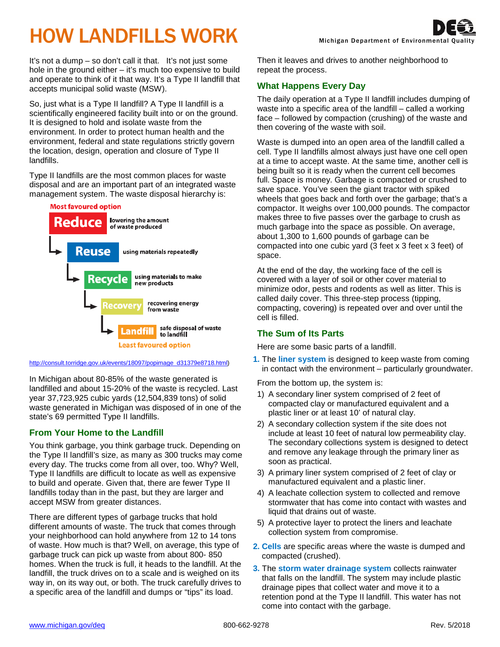# HOW LANDFILLS WORK

It's not a dump – so don't call it that. It's not just some hole in the ground either – it's much too expensive to build and operate to think of it that way. It's a Type II landfill that accepts municipal solid waste (MSW).

So, just what is a Type II landfill? A Type II landfill is a scientifically engineered facility built into or on the ground. It is designed to hold and isolate waste from the environment. In order to protect human health and the environment, federal and state regulations strictly govern the location, design, operation and closure of Type II landfills.

Type II landfills are the most common places for waste disposal and are an important part of an integrated waste management system. The waste disposal hierarchy is:



#### [http://consult.torridge.gov.uk/events/18097/popimage\\_d31379e8718.html\)](http://consult.torridge.gov.uk/events/18097/popimage_d31379e8718.html)

In Michigan about 80-85% of the waste generated is landfilled and about 15-20% of the waste is recycled. Last year 37,723,925 cubic yards (12,504,839 tons) of solid waste generated in Michigan was disposed of in one of the state's 69 permitted Type II landfills.

#### **From Your Home to the Landfill**

You think garbage, you think garbage truck. Depending on the Type II landfill's size, as many as 300 trucks may come every day. The trucks come from all over, too. Why? Well, Type II landfills are difficult to locate as well as expensive to build and operate. Given that, there are fewer Type II landfills today than in the past, but they are larger and accept MSW from greater distances.

There are different types of garbage trucks that hold different amounts of waste. The truck that comes through your neighborhood can hold anywhere from 12 to 14 tons of waste. How much is that? Well, on average, this type of garbage truck can pick up waste from about 800- 850 homes. When the truck is full, it heads to the landfill. At the landfill, the truck drives on to a scale and is weighed on its way in, on its way out, or both. The truck carefully drives to a specific area of the landfill and dumps or "tips" its load.

Then it leaves and drives to another neighborhood to repeat the process.

# **What Happens Every Day**

The daily operation at a Type II landfill includes dumping of waste into a specific area of the landfill – called a working face – followed by compaction (crushing) of the waste and then covering of the waste with soil.

Waste is dumped into an open area of the landfill called a cell. Type II landfills almost always just have one cell open at a time to accept waste. At the same time, another cell is being built so it is ready when the current cell becomes full. Space is money. Garbage is compacted or crushed to save space. You've seen the giant tractor with spiked wheels that goes back and forth over the garbage; that's a compactor. It weighs over 100,000 pounds. The compactor makes three to five passes over the garbage to crush as much garbage into the space as possible. On average, about 1,300 to 1,600 pounds of garbage can be compacted into one cubic yard (3 feet x 3 feet x 3 feet) of space.

At the end of the day, the working face of the cell is covered with a layer of soil or other cover material to minimize odor, pests and rodents as well as litter. This is called daily cover. This three-step process (tipping, compacting, covering) is repeated over and over until the cell is filled.

## **The Sum of Its Parts**

Here are some basic parts of a landfill.

**1.** The **liner system** is designed to keep waste from coming in contact with the environment – particularly groundwater.

From the bottom up, the system is:

- 1) A secondary liner system comprised of 2 feet of compacted clay or manufactured equivalent and a plastic liner or at least 10' of natural clay.
- 2) A secondary collection system if the site does not include at least 10 feet of natural low permeability clay. The secondary collections system is designed to detect and remove any leakage through the primary liner as soon as practical.
- 3) A primary liner system comprised of 2 feet of clay or manufactured equivalent and a plastic liner.
- 4) A leachate collection system to collected and remove stormwater that has come into contact with wastes and liquid that drains out of waste.
- 5) A protective layer to protect the liners and leachate collection system from compromise.
- **2. Cells** are specific areas where the waste is dumped and compacted (crushed).
- **3.** The **storm water drainage system** collects rainwater that falls on the landfill. The system may include plastic drainage pipes that collect water and move it to a retention pond at the Type II landfill. This water has not come into contact with the garbage.